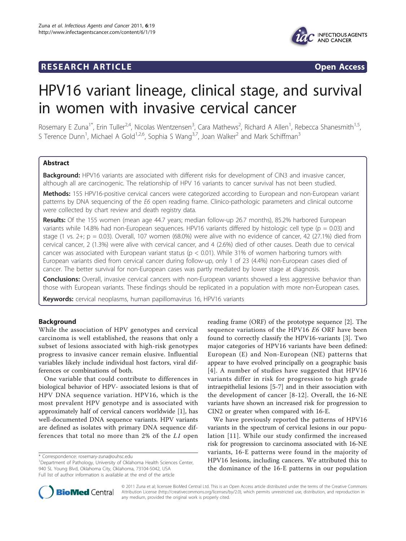# **RESEARCH ARTICLE Example 2018 Open Access**



# HPV16 variant lineage, clinical stage, and survival in women with invasive cervical cancer

Rosemary E Zuna<sup>1\*</sup>, Erin Tuller<sup>2,4</sup>, Nicolas Wentzensen<sup>3</sup>, Cara Mathews<sup>2</sup>, Richard A Allen<sup>1</sup>, Rebecca Shanesmith<sup>1,5</sup>, S Terence Dunn<sup>1</sup>, Michael A Gold<sup>1,2,6</sup>, Sophia S Wang<sup>3,7</sup>, Joan Walker<sup>2</sup> and Mark Schiffman<sup>3</sup>

# Abstract

Background: HPV16 variants are associated with different risks for development of CIN3 and invasive cancer, although all are carcinogenic. The relationship of HPV 16 variants to cancer survival has not been studied.

Methods: 155 HPV16-positive cervical cancers were categorized according to European and non-European variant patterns by DNA sequencing of the E6 open reading frame. Clinico-pathologic parameters and clinical outcome were collected by chart review and death registry data.

Results: Of the 155 women (mean age 44.7 years; median follow-up 26.7 months), 85.2% harbored European variants while 14.8% had non-European sequences. HPV16 variants differed by histologic cell type (p = 0.03) and stage (1 vs.  $2+$ ; p = 0.03). Overall, 107 women (68.0%) were alive with no evidence of cancer, 42 (27.1%) died from cervical cancer, 2 (1.3%) were alive with cervical cancer, and 4 (2.6%) died of other causes. Death due to cervical cancer was associated with European variant status ( $p < 0.01$ ). While 31% of women harboring tumors with European variants died from cervical cancer during follow-up, only 1 of 23 (4.4%) non-European cases died of cancer. The better survival for non-European cases was partly mediated by lower stage at diagnosis.

**Conclusions:** Overall, invasive cervical cancers with non-European variants showed a less aggressive behavior than those with European variants. These findings should be replicated in a population with more non-European cases.

Keywords: cervical neoplasms, human papillomavirus 16, HPV16 variants

# Background

While the association of HPV genotypes and cervical carcinoma is well established, the reasons that only a subset of lesions associated with high-risk genotypes progress to invasive cancer remain elusive. Influential variables likely include individual host factors, viral differences or combinations of both.

One variable that could contribute to differences in biological behavior of HPV- associated lesions is that of HPV DNA sequence variation. HPV16, which is the most prevalent HPV genotype and is associated with approximately half of cervical cancers worldwide [[1\]](#page-7-0), has well-documented DNA sequence variants. HPV variants are defined as isolates with primary DNA sequence differences that total no more than 2% of the L1 open

<sup>1</sup>Department of Pathology, University of Oklahoma Health Sciences Center, 940 SL Young Blvd, Oklahoma City, Oklahoma, 73104-5042, USA Full list of author information is available at the end of the article

reading frame (ORF) of the prototype sequence [[2\]](#page-7-0). The sequence variations of the HPV16 E6 ORF have been found to correctly classify the HPV16-variants [\[3](#page-7-0)]. Two major categories of HPV16 variants have been defined: European (E) and Non-European (NE) patterns that appear to have evolved principally on a geographic basis [[4](#page-7-0)]. A number of studies have suggested that HPV16 variants differ in risk for progression to high grade intraepithelial lesions [[5](#page-8-0)-[7\]](#page-8-0) and in their association with the development of cancer [[8](#page-8-0)-[12](#page-8-0)]. Overall, the 16-NE variants have shown an increased risk for progression to CIN2 or greater when compared with 16-E.

We have previously reported the patterns of HPV16 variants in the spectrum of cervical lesions in our population [[11](#page-8-0)]. While our study confirmed the increased risk for progression to carcinoma associated with 16-NE variants, 16-E patterns were found in the majority of HPV16 lesions, including cancers. We attributed this to the dominance of the 16-E patterns in our population



© 2011 Zuna et al; licensee BioMed Central Ltd. This is an Open Access article distributed under the terms of the Creative Commons Attribution License [\(http://creativecommons.org/licenses/by/2.0](http://creativecommons.org/licenses/by/2.0)), which permits unrestricted use, distribution, and reproduction in any medium, provided the original work is properly cited.

<sup>\*</sup> Correspondence: [rosemary-zuna@ouhsc.edu](mailto:rosemary-zuna@ouhsc.edu)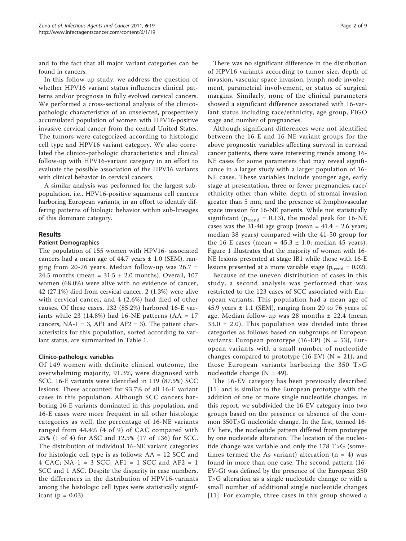and to the fact that all major variant categories can be found in cancers.

In this follow-up study, we address the question of whether HPV16 variant status influences clinical patterns and/or prognosis in fully evolved cervical cancers. We performed a cross-sectional analysis of the clinicopathologic characteristics of an unselected, prospectively accumulated population of women with HPV16-positive invasive cervical cancer from the central United States. The tumors were categorized according to histologic cell type and HPV16 variant category. We also correlated the clinico-pathologic characteristics and clinical follow-up with HPV16-variant category in an effort to evaluate the possible association of the HPV16 variants with clinical behavior in cervical cancers.

A similar analysis was performed for the largest subpopulation, i.e., HPV16-positive squamous cell cancers harboring European variants, in an effort to identify differing patterns of biologic behavior within sub-lineages of this dominant category.

#### Results

#### Patient Demographics

The population of 155 women with HPV16- associated cancers had a mean age of 44.7 years  $\pm$  1.0 (SEM), ranging from 20-76 years. Median follow-up was  $26.7 \pm$ 24.5 months (mean =  $31.5 \pm 2.0$  months). Overall, 107 women (68.0%) were alive with no evidence of cancer, 42 (27.1%) died from cervical cancer, 2 (1.3%) were alive with cervical cancer, and 4 (2.6%) had died of other causes. Of these cases, 132 (85.2%) harbored 16-E variants while 23 (14.8%) had 16-NE patterns (AA =  $17$ ) cancers,  $NA-1 = 3$ ,  $AF1$  and  $AF2 = 3$ ). The patient characteristics for this population, sorted according to variant status, are summarized in Table [1](#page-2-0).

#### Clinico-pathologic variables

Of 149 women with definite clinical outcome, the overwhelming majority, 91.3%, were diagnosed with SCC. 16-E variants were identified in 119 (87.5%) SCC lesions. These accounted for 93.7% of all 16-E variant cases in this population. Although SCC cancers harboring 16-E variants dominated in this population, and 16-E cases were more frequent in all other histologic categories as well, the percentage of 16-NE variants ranged from 44.4% (4 of 9) of CAC compared with 25% (1 of 4) for ASC and 12.5% (17 of 136) for SCC. The distribution of individual 16-NE variant categories for histologic cell type is as follows: AA = 12 SCC and 4 CAC; NA-1 = 3 SCC; AF1 = 1 SCC and AF2 = 1 SCC and 1 ASC. Despite the disparity in case numbers, the differences in the distribution of HPV16-variants among the histologic cell types were statistically significant ( $p = 0.03$ ).

There was no significant difference in the distribution of HPV16 variants according to tumor size, depth of invasion, vascular space invasion, lymph node involvement, parametrial involvement, or status of surgical margins. Similarly, none of the clinical parameters showed a significant difference associated with 16-variant status including race/ethnicity, age group, FIGO stage and number of pregnancies.

Although significant differences were not identified between the 16-E and 16-NE variant groups for the above prognostic variables affecting survival in cervical cancer patients, there were interesting trends among 16- NE cases for some parameters that may reveal significance in a larger study with a larger population of 16- NE cases. These variables include younger age, early stage at presentation, three or fewer pregnancies, race/ ethnicity other than white, depth of stromal invasion greater than 5 mm, and the presence of lymphovascular space invasion for 16-NE patients. While not statistically significant ( $p_{trend} = 0.13$ ), the modal peak for 16-NE cases was the 31-40 age group (mean =  $41.4 \pm 2.6$  years; median 38 years) compared with the 41-50 group for the 16-E cases (mean =  $45.3 \pm 1.0$ ; median 45 years). Figure [1](#page-3-0) illustrates that the majority of women with 16- NE lesions presented at stage IB1 while those with 16-E lesions presented at a more variable stage ( $p_{trend} = 0.02$ ).

Because of the uneven distribution of cases in this study, a second analysis was performed that was restricted to the 123 cases of SCC associated with European variants. This population had a mean age of 45.9 years  $\pm$  1.1 (SEM), ranging from 20 to 76 years of age. Median follow-up was 28 months  $\pm$  22.4 (mean  $33.0 \pm 2.0$ ). This population was divided into three categories as follows based on subgroups of European variants: European prototype (16-EP) (N = 53), European variants with a small number of nucleotide changes compared to prototype (16-EV) ( $N = 21$ ), and those European variants harboring the 350 T>G nucleotide change  $(N = 49)$ .

The 16-EV category has been previously described [[11](#page-8-0)] and is similar to the European prototype with the addition of one or more single nucleotide changes. In this report, we subdivided the 16-EV category into two groups based on the presence or absence of the common 350T>G nucleotide change. In the first, termed 16- EV here, the nucleotide pattern differed from prototype by one nucleotide alteration. The location of the nucleotide change was variable and only the 178 T>G (sometimes termed the As variant) alteration  $(n = 4)$  was found in more than one case. The second pattern (16- EV-G) was defined by the presence of the European 350 T>G alteration as a single nucleotide change or with a small number of additional single nucleotide changes [[11](#page-8-0)]. For example, three cases in this group showed a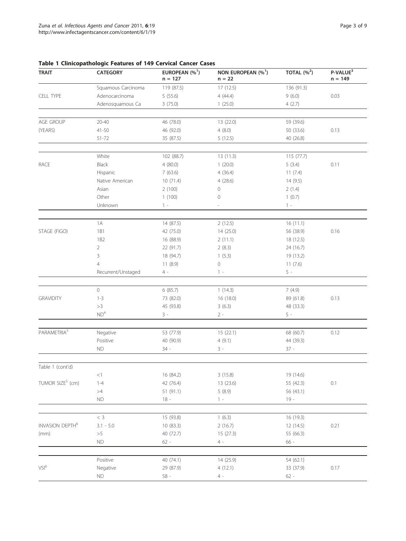| <b>TRAIT</b>                 | <b>CATEGORY</b>    | EUROPEAN $(%^1)$<br>$n = 127$ | NON EUROPEAN (% <sup>1</sup> )<br>$n = 22$ | TOTAL $(%^2)$ | P-VALUE <sup>3</sup><br>$n = 149$ |
|------------------------------|--------------------|-------------------------------|--------------------------------------------|---------------|-----------------------------------|
|                              | Squamous Carcinoma | 119 (87.5)                    | 17 (12.5)                                  | 136 (91.3)    |                                   |
| <b>CELL TYPE</b>             | Adenocarcinoma     | 5(55.6)                       | 4(44.4)                                    | 9(6.0)        | 0.03                              |
|                              | Adenosquamous Ca   | 3(75.0)                       | 1(25.0)                                    | 4(2.7)        |                                   |
|                              |                    |                               |                                            |               |                                   |
| AGE GROUP                    | $20 - 40$          | 46 (78.0)                     | 13 (22.0)                                  | 59 (39.6)     |                                   |
| (YEARS)                      | 41-50              | 46 (92.0)                     | 4(8.0)                                     | 50 (33.6)     | 0.13                              |
|                              | 51-72              | 35 (87.5)                     | 5(12.5)                                    | 40 (26.8)     |                                   |
|                              |                    |                               |                                            |               |                                   |
|                              | White              | 102 (88.7)                    | 13 (11.3)                                  | 115 (77.7)    |                                   |
| <b>RACE</b>                  | Black              | 4(80.0)                       | 1(20.0)                                    | 5(3.4)        | 0.11                              |
|                              | Hispanic           | 7(63.6)                       | 4(36.4)                                    | 11(7.4)       |                                   |
|                              | Native American    | 10(71.4)                      | 4(28.6)                                    | 14 (9.5)      |                                   |
|                              | Asian              | 2(100)                        | 0                                          | 2(1.4)        |                                   |
|                              | Other              | 1(100)                        | 0                                          | 1(0.7)        |                                   |
|                              | Unknown            | $1 -$                         |                                            | $1 -$         |                                   |
|                              |                    |                               |                                            |               |                                   |
|                              | 1A                 | 14 (87.5)                     | 2(12.5)                                    | 16(11.1)      |                                   |
| STAGE (FIGO)                 | <b>1B1</b>         | 42 (75.0)                     | 14 (25.0)                                  | 56 (38.9)     | 0.16                              |
|                              | 1B <sub>2</sub>    | 16 (88.9)                     | 2(11.1)                                    | 18 (12.5)     |                                   |
|                              | $\overline{2}$     | 22 (91.7)                     | 2(8.3)                                     | 24 (16.7)     |                                   |
|                              | 3                  | 18 (94.7)                     | 1(5.3)                                     | 19 (13.2)     |                                   |
|                              | $\overline{4}$     | 11(8.9)                       | 0                                          | 11(7.6)       |                                   |
|                              | Recurrent/Unstaged | $4 -$                         | $1 -$                                      | $5 -$         |                                   |
|                              |                    |                               |                                            |               |                                   |
|                              | $\circ$            | 6(85.7)                       | 1(14.3)                                    | 7(4.9)        |                                   |
| <b>GRAVIDITY</b>             | $1 - 3$            | 73 (82.0)                     | 16 (18.0)                                  | 89 (61.8)     | 0.13                              |
|                              | >3                 | 45 (93.8)                     | 3(6.3)                                     | 48 (33.3)     |                                   |
|                              | ND <sup>4</sup>    | $3 -$                         | $2 -$                                      | $5 -$         |                                   |
|                              |                    |                               |                                            |               |                                   |
| PARAMETRIA <sup>5</sup>      | Negative           | 53 (77.9)                     | 15(22.1)                                   | 68 (60.7)     | 0.12                              |
|                              | Positive           | 40 (90.9)                     | 4(9.1)                                     | 44 (39.3)     |                                   |
|                              | ${\sf ND}$         | $34 -$                        | $3 -$                                      | $37 -$        |                                   |
|                              |                    |                               |                                            |               |                                   |
| Table 1 (cont'd)             |                    |                               |                                            |               |                                   |
|                              | $<\!1$             | 16 (84.2)                     | 3(15.8)                                    | 19 (14.6)     |                                   |
| TUMOR SIZE <sup>5</sup> (cm) | $1 - 4$            | 42 (76.4)                     | 13 (23.6)                                  | 55 (42.3)     | $0.1\,$                           |
|                              | >4                 | 51 (91.1)                     | 5(8.9)                                     | 56 (43.1)     |                                   |
|                              | <b>ND</b>          | $18 -$                        | $1 -$                                      | $19 -$        |                                   |
|                              |                    |                               |                                            |               |                                   |
|                              | $<\,3$             | 15 (93.8)                     | 1(6.3)                                     | 16 (19.3)     |                                   |
| INVASION DEPTH <sup>6</sup>  | $3.1 - 5.0$        | 10(83.3)                      | 2(16.7)                                    | 12(14.5)      | 0.21                              |
| (mm)                         | $>\!5$             | 40 (72.7)                     | 15 (27.3)                                  | 55 (66.3)     |                                   |
|                              | ${\sf ND}$         | $62 -$                        | $4 -$                                      | $66 -$        |                                   |
|                              |                    |                               |                                            |               |                                   |
|                              | Positive           | 40 (74.1)                     | 14 (25.9)                                  | 54 (62.1)     |                                   |
| $VSI^6$                      | Negative           | 29 (87.9)                     | 4(12.1)                                    | 33 (37.9)     | 0.17                              |
|                              | $\mathsf{ND}$      | $58 -$                        | $4 -$                                      | $62 -$        |                                   |
|                              |                    |                               |                                            |               |                                   |

# <span id="page-2-0"></span>Table 1 Clinicopathologic Features of 149 Cervical Cancer Cases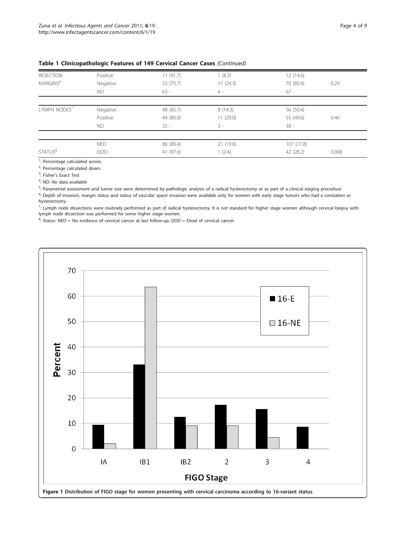| <b>RESECTION</b>         | Positive   | 11(91.7)  | 1(8.3)   | 12(14.6)  |       |
|--------------------------|------------|-----------|----------|-----------|-------|
| MARGINS <sup>6</sup>     | Negative   | 53 (75.7) | 17(24.3) | 70 (85.4) | 0.29  |
|                          | ND.        | $63 -$    | $4 -$    | $67 -$    |       |
|                          |            |           |          |           |       |
| LYMPH NODES <sup>7</sup> | Negative   | 48 (85.7) | 8(14.3)  | 56 (50.4) |       |
|                          | Positive   | 44 (80.0) | 11(20.0) | 55 (49.6) | 0.46  |
|                          | ND.        | $35 -$    | $3 -$    | $38 -$    |       |
|                          |            |           |          |           |       |
|                          | <b>NED</b> | 86 (80.4) | 21(19.6) | 107(71.8) |       |
| STATUS <sup>8</sup>      | <b>DOD</b> | 41 (97.6) | 1(2.4)   | 42 (28.2) | 0.008 |

### <span id="page-3-0"></span>Table 1 Clinicopathologic Features of 149 Cervical Cancer Cases (Continued)

<sup>1</sup>: Percentage calculated across.

<sup>2</sup>: Percentage calculated down.

<sup>3</sup>: Fisher's Exact Test

<sup>4</sup>: ND: No data available

<sup>5</sup>: Parametrial assessment and tumor size were determined by pathologic analysis of a radical hysterectomy or as part of a clinical staging procedure.

<sup>6</sup>: Depth of invasion, margin status and status of vascular space invasion were available only for women with early stage tumors who had a conization or hysterectomy.

<sup>7</sup>: Lymph node dissections were routinely performed as part of radical hysterectomy. It is not standard for higher stage women although cervical biopsy with lymph node dissection was performed for some higher stage women.

<sup>8</sup>: Status: NED = No evidence of cervical cancer at last follow-up; DOD = Dead of cervical cancer

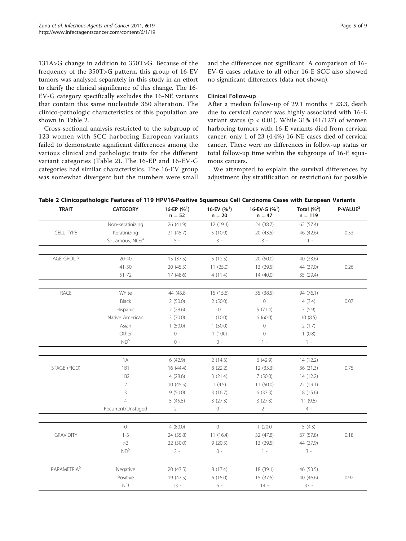131A>G change in addition to 350T>G. Because of the frequency of the 350T>G pattern, this group of 16-EV tumors was analysed separately in this study in an effort to clarify the clinical significance of this change. The 16- EV-G category specifically excludes the 16-NE variants that contain this same nucleotide 350 alteration. The clinico-pathologic characteristics of this population are shown in Table 2.

Cross-sectional analysis restricted to the subgroup of 123 women with SCC harboring European variants failed to demonstrate significant differences among the various clinical and pathologic traits for the different variant categories (Table 2). The 16-EP and 16-EV-G categories had similar characteristics. The 16-EV group was somewhat divergent but the numbers were small and the differences not significant. A comparison of 16- EV-G cases relative to all other 16-E SCC also showed no significant differences (data not shown).

# Clinical Follow-up

After a median follow-up of 29.1 months  $\pm$  23.3, death due to cervical cancer was highly associated with 16-E variant status ( $p < 0.01$ ). While 31% (41/127) of women harboring tumors with 16-E variants died from cervical cancer, only 1 of 23 (4.4%) 16-NE cases died of cervical cancer. There were no differences in follow-up status or total follow-up time within the subgroups of 16-E squamous cancers.

We attempted to explain the survival differences by adjustment (by stratification or restriction) for possible

| <b>TRAIT</b>            | <b>CATEGORY</b>            | 16-EP $(%^{1})$<br>$n = 52$ | 16-EV $(%^{1})$<br>$n = 20$ | 16-EV-G $(\%^{1})$<br>$n = 47$ | Total $(%^2)$<br>$n = 119$ | P-VALUE <sup>3</sup> |
|-------------------------|----------------------------|-----------------------------|-----------------------------|--------------------------------|----------------------------|----------------------|
|                         | Non-keratinizing           | 26 (41.9)                   | 12 (19.4)                   | 24 (38.7)                      | 62 (57.4)                  |                      |
| CELL TYPE               | Keratinizing               | 21 (45.7)                   | 5(10.9)                     | 20 (43.5)                      | 46 (42.6)                  | 0.53                 |
|                         | Squamous, NOS <sup>4</sup> | $5 -$                       | $3 -$                       | $3 -$                          | $11 -$                     |                      |
| AGE GROUP               | $20 - 40$                  |                             | 5(12.5)                     | 20 (50.0)                      | 40 (33.6)                  |                      |
|                         |                            | 15(37.5)                    |                             |                                |                            |                      |
|                         | $41 - 50$                  | 20 (45.5)                   | 11(25.0)                    | 13 (29.5)                      | 44 (37.0)                  | 0.26                 |
|                         | $51 - 72$                  | 17(48.6)                    | 4(11.4)                     | 14(40.0)                       | 35 (29.4)                  |                      |
| RACE                    | White                      | 44 (45.8)                   | 15 (15.6)                   | 35 (38.5)                      | 94 (76.1)                  |                      |
|                         | Black                      | 2(50.0)                     | 2(50.0)                     | $\mathbb O$                    | 4(3.4)                     | 0.07                 |
|                         | Hispanic                   | 2(28.6)                     | $\mathbb O$                 | 5(71.4)                        | 7(5.9)                     |                      |
|                         | Native American            | 3(30.0)                     | 1(10.0)                     | 6(60.0)                        | 10(8.5)                    |                      |
|                         | Asian                      | 1(50.0)                     | 1(50.0)                     | $\circ$                        | 2(1.7)                     |                      |
|                         | Other                      | $0 -$                       | 1(100)                      | $\mathsf{O}\xspace$            | 1(0.8)                     |                      |
|                         | ND <sup>5</sup>            | $0 -$                       | $0 -$                       | $1 -$                          | $1 -$                      |                      |
|                         | 1A                         | 6 (42.9)                    | 2(14.3)                     | 6 (42.9)                       | 14 (12.2)                  |                      |
| STAGE (FIGO)            | <b>1B1</b>                 | 16(44.4)                    | 8(22.2)                     | 12 (33.3)                      | 36(31.3)                   | 0.75                 |
|                         | 1B <sub>2</sub>            | 4(28.6)                     | 3(21.4)                     | 7(50.0)                        | 14(12.2)                   |                      |
|                         | $\overline{2}$             | 10(45.5)                    | 1(4.5)                      | 11(50.0)                       | 22 (19.1)                  |                      |
|                         | 3                          | 9(50.0)                     | 3(16.7)                     | 6(33.3)                        | 18 (15.6)                  |                      |
|                         | $\overline{4}$             | 5(45.5)                     | 3(27.3)                     | 3(27.3)                        | 11(9.6)                    |                      |
|                         | Recurrent/Unstaged         | $2 -$                       | $0 -$                       | $2 -$                          | $4 -$                      |                      |
|                         |                            |                             |                             |                                |                            |                      |
|                         | $\circ$                    | 4(80.0)                     | $0 -$                       | 1(20.0)                        | 5(4.3)                     |                      |
| <b>GRAVIDITY</b>        | $1 - 3$                    | 24 (35.8)                   | 11(16.4)                    | 32 (47.8)                      | 67 (57.8)                  | 0.18                 |
|                         | $>\!3$                     | 22 (50.0)                   | 9(20.5)                     | 13 (29.5)                      | 44 (37.9)                  |                      |
|                         | ND <sup>5</sup>            | $2 -$                       | $0 -$                       | $1 -$                          | $3 -$                      |                      |
| $\mathsf{PARAMETRIA}^6$ | Negative                   | 20 (43.5)                   | 8 (17.4)                    | 18 (39.1)                      | 46 (53.5)                  |                      |
|                         | Positive                   | 19 (47.5)                   | 6(15.0)                     | 15 (37.5)                      | 40 (46.6)                  | 0.92                 |
|                         | <b>ND</b>                  | $13 -$                      | 6 -                         | $14 -$                         | $33 -$                     |                      |

Table 2 Clinicopathologic Features of 119 HPV16-Positive Squamous Cell Carcinoma Cases with European Variants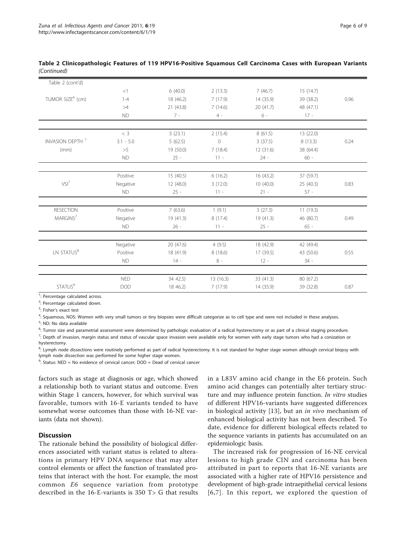| (Continued)      | Table 2 Clinicopathologic Features of 119 HPV16-Positive Squamous Cell Carcinoma Cases with European Variants |  |  |  |
|------------------|---------------------------------------------------------------------------------------------------------------|--|--|--|
| Table 2 (cont'd) |                                                                                                               |  |  |  |

| $I$ able $Z$ (CONT $U$ )     |             |           |           |           |           |      |
|------------------------------|-------------|-----------|-----------|-----------|-----------|------|
|                              | <1          | 6(40.0)   | 2(13.3)   | 7(46.7)   | 15(14.7)  |      |
| TUMOR SIZE <sup>6</sup> (cm) | $1 - 4$     | 18 (46.2) | 7(17.9)   | 14 (35.9) | 39 (38.2) | 0.96 |
|                              | >4          | 21(43.8)  | 7(14.6)   | 20(41.7)  | 48 (47.1) |      |
|                              | <b>ND</b>   | $7 -$     | $4 -$     | $6 -$     | $17 -$    |      |
|                              | $<$ 3       |           |           |           |           |      |
|                              |             | 3(23.1)   | 2(15.4)   | 8(61.5)   | 13 (22.0) |      |
| INVASION DEPTH <sup>7</sup>  | $3.1 - 5.0$ | 5(62.5)   | $\circ$   | 3(37.5)   | 8(13.3)   | 0.24 |
| (mm)                         | >5          | 19 (50.0) | 7(18.4)   | 12(31.6)  | 38 (64.4) |      |
|                              | <b>ND</b>   | $25 -$    | $11 -$    | $24 -$    | $60 -$    |      |
|                              |             |           |           |           |           |      |
|                              | Positive    | 15(40.5)  | 6(16.2)   | 16 (43.2) | 37 (59.7) |      |
| $VSI^7$                      | Negative    | 12(48.0)  | 3(12.0)   | 10(40.0)  | 25 (40.3) | 0.83 |
|                              | <b>ND</b>   | $25 -$    | $11 -$    | $21 -$    | $57 -$    |      |
|                              |             |           |           |           |           |      |
| <b>RESECTION</b>             | Positive    | 7(63.6)   | 1(9.1)    | 3(27.3)   | 11(19.3)  |      |
| MARGINS <sup>7</sup>         | Negative    | 19 (41.3) | 8(17.4)   | 19 (41.3) | 46 (80.7) | 0.49 |
|                              | <b>ND</b>   | $26 -$    | $11 -$    | $25 -$    | $65 -$    |      |
|                              | Negative    | 20 (47.6) | 4(9.5)    | 18 (42.9) | 42 (49.4) |      |
| LN STATUS <sup>8</sup>       | Positive    | 18 (41.9) | 8(18.6)   | 17 (39.5) | 43 (50.6) | 0.55 |
|                              | <b>ND</b>   | $14 -$    | $8 -$     | $12 -$    | $34 -$    |      |
|                              | <b>NED</b>  | 34 42.5)  | 13 (16.3) | 33 (41.3) | 80 (67.2) |      |
| STATUS <sup>9</sup>          |             |           |           |           |           |      |
|                              | <b>DOD</b>  | 18 46.2)  | 7(17.9)   | 14 (35.9) | 39 (32.8) | 0.87 |

<sup>1</sup>: Percentage calculated across.

<sup>2</sup>: Percentage calculated down.

<sup>3</sup>: Fisher's exact test

4 : Squamous, NOS: Women with very small tumors or tiny biopsies were difficult categorize as to cell type and were not included in these analyses.

<sup>5</sup>: ND: No data available

<sup>6</sup>: Tumor size and parametrial assessment were determined by pathologic evaluation of a radical hysterectomy or as part of a clinical staging procedure.

 $^{7}$ : Depth of invasion, margin status and status of vascular space invasion were available only for women with early stage tumors who had a conization or hysterectomy.

<sup>8</sup>: Lymph node dissections were routinely performed as part of radical hysterectomy. It is not standard for higher stage women although cervical biopsy with lymph node dissection was performed for some higher stage women.

 $9$ : Status: NED = No evidence of cervical cancer; DOD = Dead of cervical cancer

factors such as stage at diagnosis or age, which showed a relationship both to variant status and outcome. Even within Stage 1 cancers, however, for which survival was favorable, tumors with 16-E variants tended to have somewhat worse outcomes than those with 16-NE variants (data not shown).

# **Discussion**

The rationale behind the possibility of biological differences associated with variant status is related to alterations in primary HPV DNA sequence that may alter control elements or affect the function of translated proteins that interact with the host. For example, the most common E6 sequence variation from prototype described in the 16-E-variants is 350 T> G that results

in a L83V amino acid change in the E6 protein. Such amino acid changes can potentially alter tertiary structure and may influence protein function. In vitro studies of different HPV16-variants have suggested differences in biological activity [\[13](#page-8-0)], but an in vivo mechanism of enhanced biological activity has not been described. To date, evidence for different biological effects related to the sequence variants in patients has accumulated on an epidemiologic basis.

The increased risk for progression of 16-NE cervical lesions to high grade CIN and carcinoma has been attributed in part to reports that 16-NE variants are associated with a higher rate of HPV16 persistence and development of high-grade intraepithelial cervical lesions [[6,7\]](#page-8-0). In this report, we explored the question of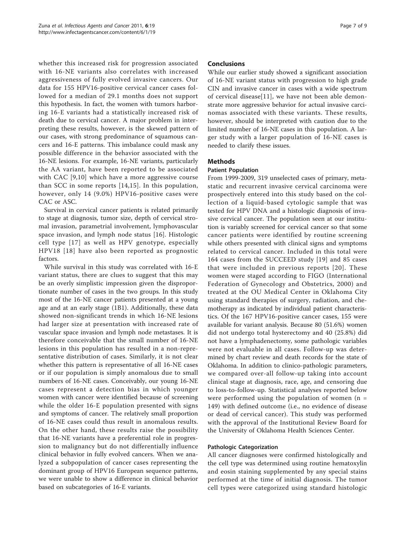whether this increased risk for progression associated with 16-NE variants also correlates with increased aggressiveness of fully evolved invasive cancers. Our data for 155 HPV16-positive cervical cancer cases followed for a median of 29.1 months does not support this hypothesis. In fact, the women with tumors harboring 16-E variants had a statistically increased risk of death due to cervical cancer. A major problem in interpreting these results, however, is the skewed pattern of our cases, with strong predominance of squamous cancers and 16-E patterns. This imbalance could mask any possible difference in the behavior associated with the 16-NE lesions. For example, 16-NE variants, particularly the AA variant, have been reported to be associated with CAC [[9,10](#page-8-0)] which have a more aggressive course than SCC in some reports [[14,15\]](#page-8-0). In this population, however, only 14 (9.0%) HPV16-positive cases were CAC or ASC.

Survival in cervical cancer patients is related primarily to stage at diagnosis, tumor size, depth of cervical stromal invasion, parametrial involvement, lymphovascular space invasion, and lymph node status [\[16\]](#page-8-0). Histologic cell type [\[17](#page-8-0)] as well as HPV genotype, especially HPV18 [[18](#page-8-0)] have also been reported as prognostic factors.

While survival in this study was correlated with 16-E variant status, there are clues to suggest that this may be an overly simplistic impression given the disproportionate number of cases in the two groups. In this study most of the 16-NE cancer patients presented at a young age and at an early stage (1B1). Additionally, these data showed non-significant trends in which 16-NE lesions had larger size at presentation with increased rate of vascular space invasion and lymph node metastases. It is therefore conceivable that the small number of 16-NE lesions in this population has resulted in a non-representative distribution of cases. Similarly, it is not clear whether this pattern is representative of all 16-NE cases or if our population is simply anomalous due to small numbers of 16-NE cases. Conceivably, our young 16-NE cases represent a detection bias in which younger women with cancer were identified because of screening while the older 16-E population presented with signs and symptoms of cancer. The relatively small proportion of 16-NE cases could thus result in anomalous results. On the other hand, these results raise the possibility that 16-NE variants have a preferential role in progression to malignancy but do not differentially influence clinical behavior in fully evolved cancers. When we analyzed a subpopulation of cancer cases representing the dominant group of HPV16 European sequence patterns, we were unable to show a difference in clinical behavior based on subcategories of 16-E variants.

# Conclusions

While our earlier study showed a significant association of 16-NE variant status with progression to high grade CIN and invasive cancer in cases with a wide spectrum of cervical disease[[11](#page-8-0)], we have not been able demonstrate more aggressive behavior for actual invasive carcinomas associated with these variants. These results, however, should be interpreted with caution due to the limited number of 16-NE cases in this population. A larger study with a larger population of 16-NE cases is needed to clarify these issues.

# Methods

# Patient Population

From 1999-2009, 319 unselected cases of primary, metastatic and recurrent invasive cervical carcinoma were prospectively entered into this study based on the collection of a liquid-based cytologic sample that was tested for HPV DNA and a histologic diagnosis of invasive cervical cancer. The population seen at our institution is variably screened for cervical cancer so that some cancer patients were identified by routine screening while others presented with clinical signs and symptoms related to cervical cancer. Included in this total were 164 cases from the SUCCEED study [\[19\]](#page-8-0) and 85 cases that were included in previous reports [[20\]](#page-8-0). These women were staged according to FIGO (International Federation of Gynecology and Obstetrics, 2000) and treated at the OU Medical Center in Oklahoma City using standard therapies of surgery, radiation, and chemotherapy as indicated by individual patient characteristics. Of the 167 HPV16-positive cancer cases, 155 were available for variant analysis. Because 80 (51.6%) women did not undergo total hysterectomy and 40 (25.8%) did not have a lymphadenectomy, some pathologic variables were not evaluable in all cases. Follow-up was determined by chart review and death records for the state of Oklahoma. In addition to clinico-pathologic parameters, we compared over-all follow-up taking into account clinical stage at diagnosis, race, age, and censoring due to loss-to-follow-up. Statistical analyses reported below were performed using the population of women  $(n =$ 149) with defined outcome (i.e., no evidence of disease or dead of cervical cancer). This study was performed with the approval of the Institutional Review Board for the University of Oklahoma Health Sciences Center.

#### Pathologic Categorization

All cancer diagnoses were confirmed histologically and the cell type was determined using routine hematoxylin and eosin staining supplemented by any special stains performed at the time of initial diagnosis. The tumor cell types were categorized using standard histologic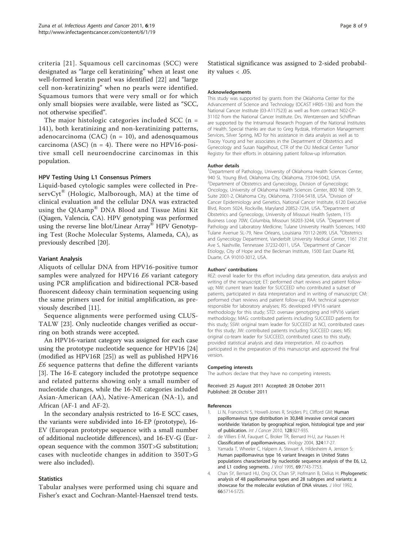<span id="page-7-0"></span>criteria [[21\]](#page-8-0). Squamous cell carcinomas (SCC) were designated as "large cell keratinizing" when at least one well-formed keratin pearl was identified [[22\]](#page-8-0) and "large cell non-keratinizing" when no pearls were identified. Squamous tumors that were very small or for which only small biopsies were available, were listed as "SCC, not otherwise specified".

The major histologic categories included  $SCC$  (n = 141), both keratinizing and non-keratinizing patterns, adenocarcinoma (CAC) ( $n = 10$ ), and adenosquamous carcinoma (ASC) ( $n = 4$ ). There were no HPV16-positive small cell neuroendocrine carcinomas in this population.

#### HPV Testing Using L1 Consensus Primers

Liquid-based cytologic samples were collected in PreservCyt<sup>®</sup> (Hologic, Malborough, MA) at the time of clinical evaluation and the cellular DNA was extracted using the QIAamp® DNA Blood and Tissue Mini Kit (Qiagen, Valencia, CA). HPV genotyping was performed using the reverse line blot/Linear Array® HPV Genotyping Test (Roche Molecular Systems, Alameda, CA), as previously described [\[20\]](#page-8-0).

#### Variant Analysis

Aliquots of cellular DNA from HPV16-positive tumor samples were analyzed for HPV16 E6 variant category using PCR amplification and bidirectional PCR-based fluorescent dideoxy chain termination sequencing using the same primers used for initial amplification, as previously described [[11\]](#page-8-0).

Sequence alignments were performed using CLUS-TALW [\[23](#page-8-0)]. Only nucleotide changes verified as occurring on both strands were accepted.

An HPV16-variant category was assigned for each case using the prototype nucleotide sequence for HPV16 [[24](#page-8-0)] (modified as HPV16R [\[25](#page-8-0)]) as well as published HPV16 E6 sequence patterns that define the different variants [3]. The 16-E category included the prototype sequence and related patterns showing only a small number of nucleotide changes, while the 16-NE categories included Asian-American (AA), Native-American (NA-1), and African (AF-1 and AF-2).

In the secondary analysis restricted to 16-E SCC cases, the variants were subdivided into 16-EP (prototype), 16- EV (European prototype sequence with a small number of additional nucleotide differences), and 16-EV-G (European sequence with the common 350T>G substitution; cases with nucleotide changes in addition to 350T>G were also included).

#### **Statistics**

Tabular analyses were performed using chi square and Fisher's exact and Cochran-Mantel-Haenszel trend tests.

Statistical significance was assigned to 2-sided probability values < .05.

#### Acknowledgements

This study was supported by grants from the Oklahoma Center for the Advancement of Science and Technology (OCAST HR05-136) and from the National Cancer Institute (03-A117523) as well as from contract N02-CP-31102 from the National Cancer Institute. Drs. Wentzensen and Schiffman are supported by the Intramural Research Program of the National Institutes of Health. Special thanks are due to Greg Rydzak, Information Management Services, Silver Spring, MD for his assistance in data analysis as well as to Tracey Young and her associates in the Department of Obstetrics and Gynecology and Susan Nagelhout, CTR of the OU Medical Center Tumor Registry for their efforts in obtaining patient follow-up information.

#### Author details

<sup>1</sup>Department of Pathology, University of Oklahoma Health Sciences Center, 940 SL Young Blvd, Oklahoma City, Oklahoma, 73104-5042, USA. 2 Department of Obstetrics and Gynecology, Division of Gynecologic Oncology, University of Oklahoma Health Sciences Center, 800 NE 10th St. Suite 2001-2, Oklahoma City, Oklahoma, 73104-5418, USA. <sup>3</sup>Division of Cancer Epidemiology and Genetics, National Cancer Institute, 6120 Executive Blvd, Room 5024, Rockville, Maryland 20852-7234, USA. <sup>4</sup>Department of Obstetrics and Gynecology, University of Missouri Health System, 115 Business Loop 70W, Columbia, Missouri 56203-3244, USA. <sup>5</sup>Department of Pathology and Laboratory Medicine, Tulane University Health Sciences, 1430 Tulane Avenue SL-79, New Orleans, Louisiana 70112-2699, USA. <sup>6</sup>Obstetrics and Gynecology Department, Vanderbilt University Medical Center, 1161 21st Ave S, Nashville, Tennessee 37232-0011, USA. <sup>7</sup>Department of Cancer Etiology, City of Hope and the Beckman Institute, 1500 East Duarte Rd, Duarte, CA 91010-3012, USA.

#### Authors' contributions

REZ: overall leader for this effort including data generation, data analysis and writing of the manuscript; ET: performed chart reviews and patient followup; NW: current team leader for SUCCEED who contributed a subset of patients, participated in data interpretation and in writing of manuscript; CM: performed chart reviews and patient follow-up; RAA: technical supervisor responsible for laboratory analyses; RS: developed HPV16 variant methodology for this study; STD: oversaw genotyping and HPV16 variant methodology; MAG: contributed patients including SUCCEED patients for this study; SSW: original team leader for SUCCEED at NCI, contributed cases for this study; JW: contributed patients including SUCCEED cases; MS: original co-team leader for SUCCEED, contributed cases to this study, provided statistical analysis and data interpretation. All co-authors participated in the preparation of this manuscript and approved the final version.

#### Competing interests

The authors declare that they have no competing interests.

Received: 25 August 2011 Accepted: 28 October 2011 Published: 28 October 2011

#### References

- 1. Li N, Franceschi S, Howell-Jones R, Snijders PJ, Clifford GM: Human papillomavirus type distribution in 30,848 invasive cervical cancers worldwide: Variation by geographical region, histological type and year of publication. Int J Cancer 2010, 128:927-935.
- 2. de Villiers E-M, Fauquet C, Broker TR, Bernard H-U, zur Hausen H: [Classification of papillomaviruses.](http://www.ncbi.nlm.nih.gov/pubmed/15183049?dopt=Abstract) Virology 2004, 324:17-27.
- 3. Yamada T, Wheeler C, Halpern A, Stewart A, Hildesheim A, Jenison S: [Human papillomavirus type 16 variant lineages in United States](http://www.ncbi.nlm.nih.gov/pubmed/7494284?dopt=Abstract) [populations characterized by nucleotide sequence analysis of the E6, L2,](http://www.ncbi.nlm.nih.gov/pubmed/7494284?dopt=Abstract) [and L1 coding segments.](http://www.ncbi.nlm.nih.gov/pubmed/7494284?dopt=Abstract) J Virol 1995, 69:7743-7753.
- 4. Chan SY, Bernard HU, Ong CK, Chan SP, Hofmann B, Delius H: [Phylogenetic](http://www.ncbi.nlm.nih.gov/pubmed/1326639?dopt=Abstract) [analysis of 48 papillomavirus types and 28 subtypes and variants: a](http://www.ncbi.nlm.nih.gov/pubmed/1326639?dopt=Abstract) [showcase for the molecular evolution of DNA viruses.](http://www.ncbi.nlm.nih.gov/pubmed/1326639?dopt=Abstract) *J Virol* 1992. 66:5714-5725.